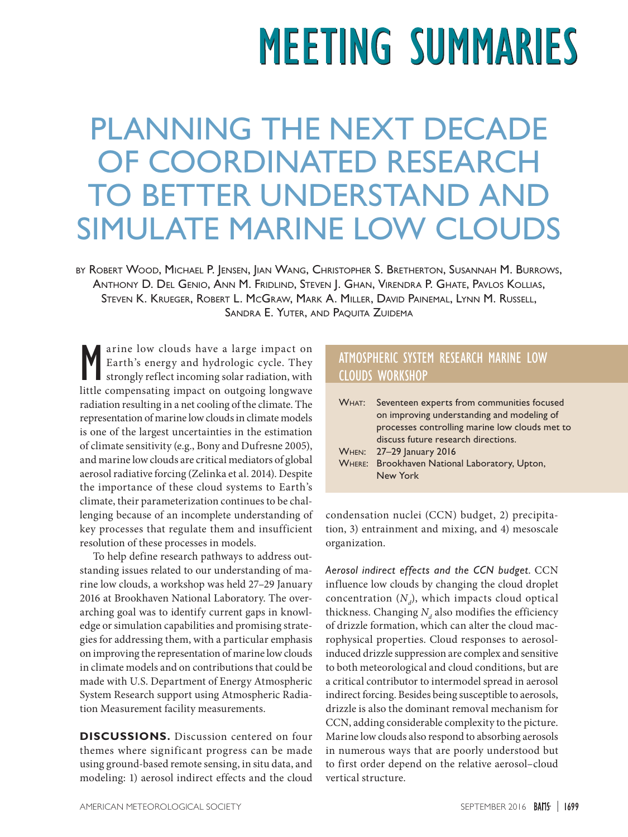## **MEETING SUMMARIES**

## PLANNING THE NEXT DECADE OF COORDINATED RESEARCH TO BETTER UNDERSTAND AND SIMULATE MARINE LOW CLOUDS

by Robert Wood, Michael P. Jensen, Jian Wang, Christopher S. Bretherton, Susannah M. Burrows, Anthony D. Del Genio, Ann M. Fridlind, Steven J. Ghan, Virendra P. Ghate, Pavlos Kollias, Steven K. Krueger, Robert L. McGraw, Mark A. Miller, David Painemal, Lynn M. Russell, Sandra E. Yuter, and Paquita Zuidema

M arine low clouds have a large impact on Earth's energy and hydrologic cycle. They strongly reflect incoming solar radiation, with little compensating impact on outgoing longwave arine low clouds have a large impact on Earth's energy and hydrologic cycle. They strongly reflect incoming solar radiation, with radiation resulting in a net cooling of the climate. The representation of marine low clouds in climate models is one of the largest uncertainties in the estimation of climate sensitivity (e.g., Bony and Dufresne 2005), and marine low clouds are critical mediators of global aerosol radiative forcing (Zelinka et al. 2014). Despite the importance of these cloud systems to Earth's climate, their parameterization continues to be challenging because of an incomplete understanding of key processes that regulate them and insufficient resolution of these processes in models.

To help define research pathways to address outstanding issues related to our understanding of marine low clouds, a workshop was held 27–29 January 2016 at Brookhaven National Laboratory. The overarching goal was to identify current gaps in knowledge or simulation capabilities and promising strategies for addressing them, with a particular emphasis on improving the representation of marine low clouds in climate models and on contributions that could be made with U.S. Department of Energy Atmospheric System Research support using Atmospheric Radiation Measurement facility measurements.

**DISCUSSIONS.** Discussion centered on four themes where significant progress can be made using ground-based remote sensing, in situ data, and modeling: 1) aerosol indirect effects and the cloud

## ATMOSPHERIC SYSTEM RESEARCH MARINE LOW CLOUDS WORKSHOP

| WHAT: Seventeen experts from communities focused |
|--------------------------------------------------|
| on improving understanding and modeling of       |
| processes controlling marine low clouds met to   |
| discuss future research directions.              |
| <b>WHEN:</b> 27-29 January 2016                  |
| WHERE: Brookhaven National Laboratory, Upton,    |
| New York                                         |

condensation nuclei (CCN) budget, 2) precipitation, 3) entrainment and mixing, and 4) mesoscale organization.

*Aerosol indirect effects and the CCN budget.* CCN influence low clouds by changing the cloud droplet concentration  $(N_d)$ , which impacts cloud optical thickness. Changing  $N_d$  also modifies the efficiency of drizzle formation, which can alter the cloud macrophysical properties. Cloud responses to aerosolinduced drizzle suppression are complex and sensitive to both meteorological and cloud conditions, but are a critical contributor to intermodel spread in aerosol indirect forcing. Besides being susceptible to aerosols, drizzle is also the dominant removal mechanism for CCN, adding considerable complexity to the picture. Marine low clouds also respond to absorbing aerosols in numerous ways that are poorly understood but to first order depend on the relative aerosol–cloud vertical structure.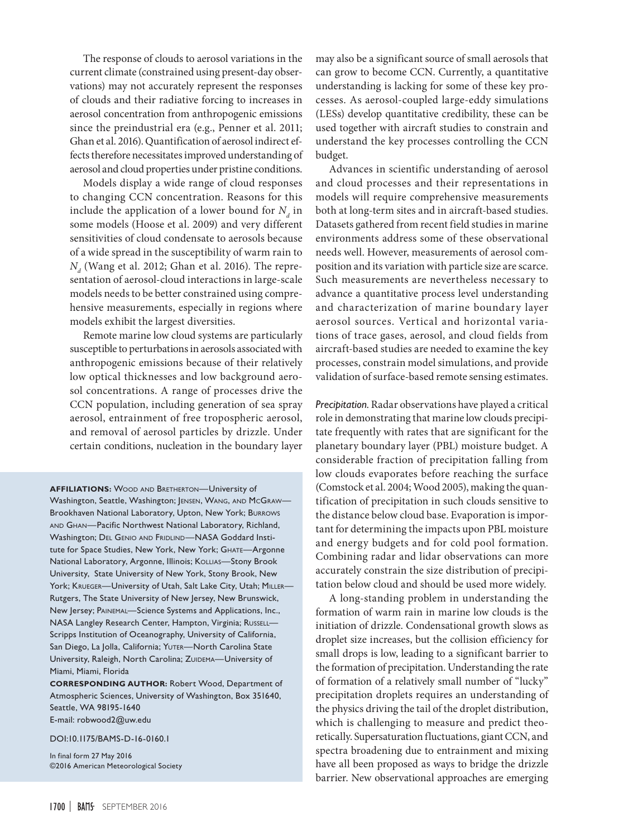The response of clouds to aerosol variations in the current climate (constrained using present-day observations) may not accurately represent the responses of clouds and their radiative forcing to increases in aerosol concentration from anthropogenic emissions since the preindustrial era (e.g., Penner et al. 2011; Ghan et al. 2016). Quantification of aerosol indirect effects therefore necessitates improved understanding of aerosol and cloud properties under pristine conditions.

Models display a wide range of cloud responses to changing CCN concentration. Reasons for this include the application of a lower bound for  $N_d$  in some models (Hoose et al. 2009) and very different sensitivities of cloud condensate to aerosols because of a wide spread in the susceptibility of warm rain to  $N_d$  (Wang et al. 2012; Ghan et al. 2016). The representation of aerosol-cloud interactions in large-scale models needs to be better constrained using comprehensive measurements, especially in regions where models exhibit the largest diversities.

Remote marine low cloud systems are particularly susceptible to perturbations in aerosols associated with anthropogenic emissions because of their relatively low optical thicknesses and low background aerosol concentrations. A range of processes drive the CCN population, including generation of sea spray aerosol, entrainment of free tropospheric aerosol, and removal of aerosol particles by drizzle. Under certain conditions, nucleation in the boundary layer

**AFFILIATIONS:** Wood and Bretherton—University of Washington, Seattle, Washington; JENSEN, WANG, AND McGRAW-Brookhaven National Laboratory, Upton, New York; Burrows AND GHAN-Pacific Northwest National Laboratory, Richland, Washington; DEL GENIO AND FRIDLIND-NASA Goddard Institute for Space Studies, New York, New York; GHATE-Argonne National Laboratory, Argonne, Illinois; Kollias-Stony Brook University, State University of New York, Stony Brook, New York; KRUEGER-University of Utah, Salt Lake City, Utah; MILLER-Rutgers, The State University of New Jersey, New Brunswick, New Jersey; Painemal—Science Systems and Applications, Inc., NASA Langley Research Center, Hampton, Virginia; Russell— Scripps Institution of Oceanography, University of California, San Diego, La Jolla, California; YUTER-North Carolina State University, Raleigh, North Carolina; ZUIDEMA-University of Miami, Miami, Florida

**CORRESPONDING AUTHOR:** Robert Wood, Department of Atmospheric Sciences, University of Washington, Box 351640, Seattle, WA 98195-1640

E-mail: [robwood2@uw.edu](mailto:robwood2%40uw.edu?subject=)

[DOI:10.1175/BAMS-D-16-0160.1](http://dx.doi.org/10.1175/BAMS-D-16-0160.1)

In final form 27 May 2016 ©2016 American Meteorological Society may also be a significant source of small aerosols that can grow to become CCN. Currently, a quantitative understanding is lacking for some of these key processes. As aerosol-coupled large-eddy simulations (LESs) develop quantitative credibility, these can be used together with aircraft studies to constrain and understand the key processes controlling the CCN budget.

Advances in scientific understanding of aerosol and cloud processes and their representations in models will require comprehensive measurements both at long-term sites and in aircraft-based studies. Datasets gathered from recent field studies in marine environments address some of these observational needs well. However, measurements of aerosol composition and its variation with particle size are scarce. Such measurements are nevertheless necessary to advance a quantitative process level understanding and characterization of marine boundary layer aerosol sources. Vertical and horizontal variations of trace gases, aerosol, and cloud fields from aircraft-based studies are needed to examine the key processes, constrain model simulations, and provide validation of surface-based remote sensing estimates.

*Precipitation.* Radar observations have played a critical role in demonstrating that marine low clouds precipitate frequently with rates that are significant for the planetary boundary layer (PBL) moisture budget. A considerable fraction of precipitation falling from low clouds evaporates before reaching the surface (Comstock et al. 2004; Wood 2005), making the quantification of precipitation in such clouds sensitive to the distance below cloud base. Evaporation is important for determining the impacts upon PBL moisture and energy budgets and for cold pool formation. Combining radar and lidar observations can more accurately constrain the size distribution of precipitation below cloud and should be used more widely.

A long-standing problem in understanding the formation of warm rain in marine low clouds is the initiation of drizzle. Condensational growth slows as droplet size increases, but the collision efficiency for small drops is low, leading to a significant barrier to the formation of precipitation. Understanding the rate of formation of a relatively small number of "lucky" precipitation droplets requires an understanding of the physics driving the tail of the droplet distribution, which is challenging to measure and predict theoretically. Supersaturation fluctuations, giant CCN, and spectra broadening due to entrainment and mixing have all been proposed as ways to bridge the drizzle barrier. New observational approaches are emerging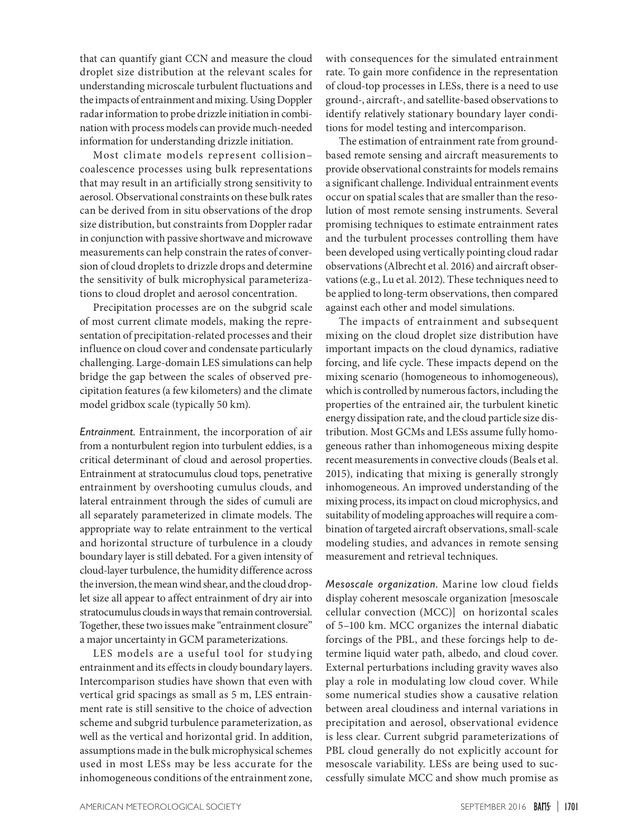that can quantify giant CCN and measure the cloud droplet size distribution at the relevant scales for understanding microscale turbulent fluctuations and the impacts of entrainment and mixing. Using Doppler radar information to probe drizzle initiation in combination with process models can provide much-needed information for understanding drizzle initiation.

Most climate models represent collision– coalescence processes using bulk representations that may result in an artificially strong sensitivity to aerosol. Observational constraints on these bulk rates can be derived from in situ observations of the drop size distribution, but constraints from Doppler radar in conjunction with passive shortwave and microwave measurements can help constrain the rates of conversion of cloud droplets to drizzle drops and determine the sensitivity of bulk microphysical parameterizations to cloud droplet and aerosol concentration.

Precipitation processes are on the subgrid scale of most current climate models, making the representation of precipitation-related processes and their influence on cloud cover and condensate particularly challenging. Large-domain LES simulations can help bridge the gap between the scales of observed precipitation features (a few kilometers) and the climate model gridbox scale (typically 50 km).

*Entrainment.* Entrainment, the incorporation of air from a nonturbulent region into turbulent eddies, is a critical determinant of cloud and aerosol properties. Entrainment at stratocumulus cloud tops, penetrative entrainment by overshooting cumulus clouds, and lateral entrainment through the sides of cumuli are all separately parameterized in climate models. The appropriate way to relate entrainment to the vertical and horizontal structure of turbulence in a cloudy boundary layer is still debated. For a given intensity of cloud-layer turbulence, the humidity difference across the inversion, the mean wind shear, and the cloud droplet size all appear to affect entrainment of dry air into stratocumulus clouds in ways that remain controversial. Together, these two issues make "entrainment closure" a major uncertainty in GCM parameterizations.

LES models are a useful tool for studying entrainment and its effects in cloudy boundary layers. Intercomparison studies have shown that even with vertical grid spacings as small as 5 m, LES entrainment rate is still sensitive to the choice of advection scheme and subgrid turbulence parameterization, as well as the vertical and horizontal grid. In addition, assumptions made in the bulk microphysical schemes used in most LESs may be less accurate for the inhomogeneous conditions of the entrainment zone,

with consequences for the simulated entrainment rate. To gain more confidence in the representation of cloud-top processes in LESs, there is a need to use ground-, aircraft-, and satellite-based observations to identify relatively stationary boundary layer conditions for model testing and intercomparison.

The estimation of entrainment rate from groundbased remote sensing and aircraft measurements to provide observational constraints for models remains a significant challenge. Individual entrainment events occur on spatial scales that are smaller than the resolution of most remote sensing instruments. Several promising techniques to estimate entrainment rates and the turbulent processes controlling them have been developed using vertically pointing cloud radar observations (Albrecht et al. 2016) and aircraft observations (e.g., Lu et al. 2012). These techniques need to be applied to long-term observations, then compared against each other and model simulations.

The impacts of entrainment and subsequent mixing on the cloud droplet size distribution have important impacts on the cloud dynamics, radiative forcing, and life cycle. These impacts depend on the mixing scenario (homogeneous to inhomogeneous), which is controlled by numerous factors, including the properties of the entrained air, the turbulent kinetic energy dissipation rate, and the cloud particle size distribution. Most GCMs and LESs assume fully homogeneous rather than inhomogeneous mixing despite recent measurements in convective clouds (Beals et al. 2015), indicating that mixing is generally strongly inhomogeneous. An improved understanding of the mixing process, its impact on cloud microphysics, and suitability of modeling approaches will require a combination of targeted aircraft observations, small-scale modeling studies, and advances in remote sensing measurement and retrieval techniques.

*Mesoscale organization.* Marine low cloud fields display coherent mesoscale organization [mesoscale cellular convection (MCC)] on horizontal scales of 5–100 km. MCC organizes the internal diabatic forcings of the PBL, and these forcings help to determine liquid water path, albedo, and cloud cover. External perturbations including gravity waves also play a role in modulating low cloud cover. While some numerical studies show a causative relation between areal cloudiness and internal variations in precipitation and aerosol, observational evidence is less clear. Current subgrid parameterizations of PBL cloud generally do not explicitly account for mesoscale variability. LESs are being used to successfully simulate MCC and show much promise as